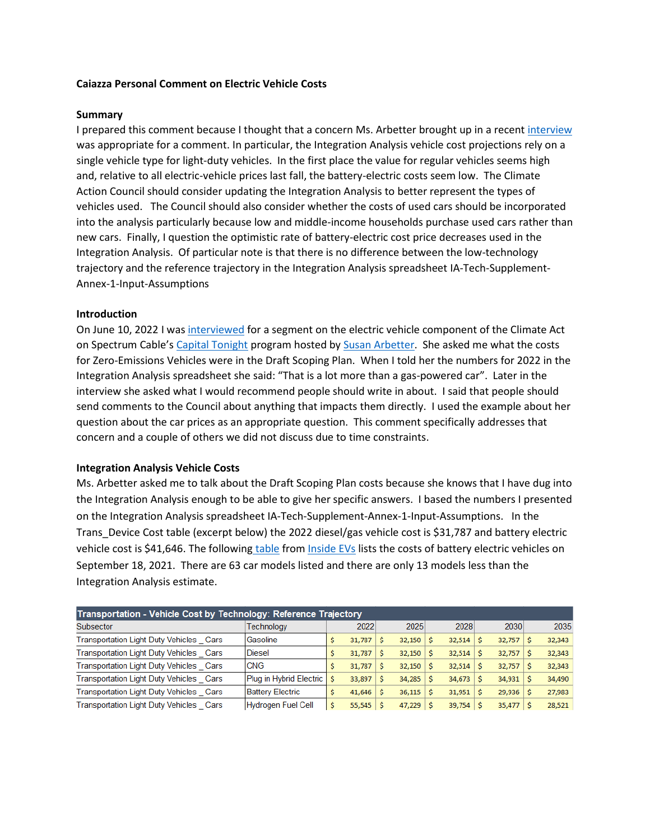### **Caiazza Personal Comment on Electric Vehicle Costs**

### **Summary**

I prepared this comment because I thought that a concern Ms. Arbetter brought up in a recent [interview](https://spectrumlocalnews.com/nys/capital-region/politics/2022/06/10/new-york-s-climate-goals-will-change-how-you-get-around) was appropriate for a comment. In particular, the Integration Analysis vehicle cost projections rely on a single vehicle type for light-duty vehicles. In the first place the value for regular vehicles seems high and, relative to all electric-vehicle prices last fall, the battery-electric costs seem low. The Climate Action Council should consider updating the Integration Analysis to better represent the types of vehicles used. The Council should also consider whether the costs of used cars should be incorporated into the analysis particularly because low and middle-income households purchase used cars rather than new cars. Finally, I question the optimistic rate of battery-electric cost price decreases used in the Integration Analysis. Of particular note is that there is no difference between the low-technology trajectory and the reference trajectory in the Integration Analysis spreadsheet IA-Tech-Supplement-Annex-1-Input-Assumptions

### **Introduction**

On June 10, 2022 I was [interviewed](https://spectrumlocalnews.com/nys/capital-region/politics/2022/06/10/new-york-s-climate-goals-will-change-how-you-get-around) for a segment on the electric vehicle component of the Climate Act on Spectrum Cable's [Capital Tonight](https://spectrumlocalnews.com/nys/capital-region/politics/capital-tonight) program hosted b[y Susan Arbetter.](https://spectrumlocalnews.com/nys/capital-region/reporters/2020/04/28/susan-arbetter) She asked me what the costs for Zero-Emissions Vehicles were in the Draft Scoping Plan. When I told her the numbers for 2022 in the Integration Analysis spreadsheet she said: "That is a lot more than a gas-powered car". Later in the interview she asked what I would recommend people should write in about. I said that people should send comments to the Council about anything that impacts them directly. I used the example about her question about the car prices as an appropriate question. This comment specifically addresses that concern and a couple of others we did not discuss due to time constraints.

### **Integration Analysis Vehicle Costs**

Ms. Arbetter asked me to talk about the Draft Scoping Plan costs because she knows that I have dug into the Integration Analysis enough to be able to give her specific answers. I based the numbers I presented on the Integration Analysis spreadsheet IA-Tech-Supplement-Annex-1-Input-Assumptions. In the Trans\_Device Cost table (excerpt below) the 2022 diesel/gas vehicle cost is \$31,787 and battery electric vehicle cost is \$41,646. The following [table](https://pragmaticenvironmentalistofnewyork.files.wordpress.com/2022/06/electric-car-prices-in-the-us-18-september-2021.pdf) from [Inside EVs](https://insideevs.com/) lists the costs of battery electric vehicles on September 18, 2021. There are 63 car models listed and there are only 13 models less than the Integration Analysis estimate.

| Transportation - Vehicle Cost by Technology: Reference Trajectory |                           |   |        |  |        |  |               |  |        |  |        |  |  |
|-------------------------------------------------------------------|---------------------------|---|--------|--|--------|--|---------------|--|--------|--|--------|--|--|
| Subsector                                                         | Technoloav                |   | 2022   |  | 2025   |  | 2028          |  | 2030   |  | 2035   |  |  |
| Transportation Light Duty Vehicles Cars                           | Gasoline                  | Ś | 31,787 |  | 32,150 |  | $32,514$ \$   |  | 32,757 |  | 32,343 |  |  |
| Transportation Light Duty Vehicles Cars                           | <b>Diesel</b>             |   | 31,787 |  | 32,150 |  | $32,514$ \$   |  | 32,757 |  | 32,343 |  |  |
| Transportation Light Duty Vehicles Cars                           | <b>CNG</b>                | Ŝ | 31.787 |  | 32,150 |  | $32,514$ \$   |  | 32,757 |  | 32,343 |  |  |
| Transportation Light Duty Vehicles Cars                           | Plug in Hybrid Electric   |   | 33,897 |  | 34,285 |  | $34,673$ \$   |  | 34,931 |  | 34,490 |  |  |
| Transportation Light Duty Vehicles Cars                           | <b>Battery Electric</b>   | Ś | 41,646 |  | 36,115 |  | $31,951$   \$ |  | 29,936 |  | 27,983 |  |  |
| Transportation Light Duty Vehicles Cars                           | <b>Hydrogen Fuel Cell</b> | Ŝ | 55,545 |  | 47,229 |  | $39,754$ \ \$ |  | 35,477 |  | 28,521 |  |  |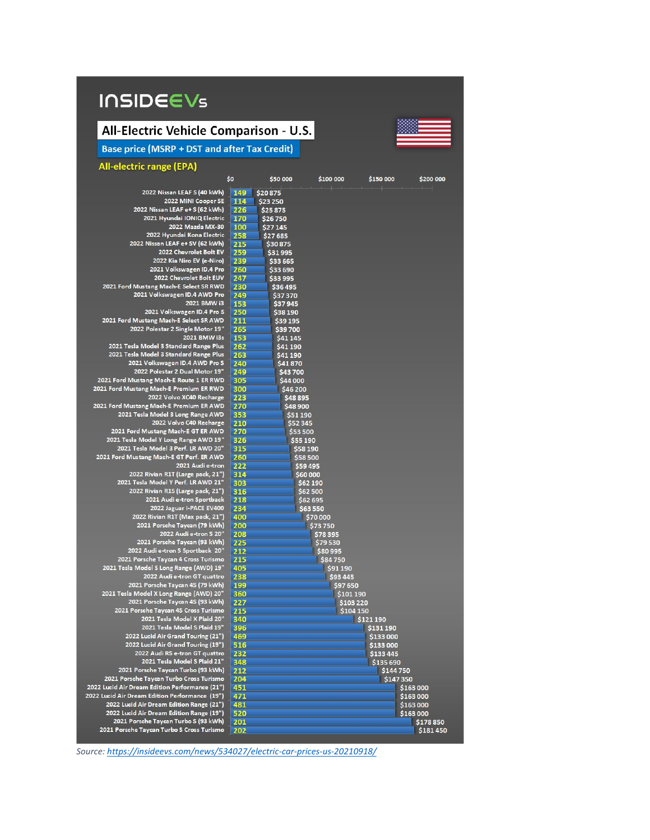# **INSIDEEVs**

## All-Electric Vehicle Comparison - U.S.



**Base price (MSRP + DST and after Tax Credit)** 

### All-electric range (EPA)

|                                                                                  | \$o             | \$50 000             | \$100 000 | \$150 000              | \$200 000 |
|----------------------------------------------------------------------------------|-----------------|----------------------|-----------|------------------------|-----------|
| 2022 Nissan LEAF S (40 kWh)                                                      | 149<br>\$20875  |                      |           |                        |           |
| 2022 MINI Cooper SE                                                              | 114<br>\$23 250 |                      |           |                        |           |
| 2022 Nissan LEAF e+ S (62 kWh)                                                   | 226             | \$25875              |           |                        |           |
| 2021 Hyundai IONIQ Electric                                                      | 170             | \$26750              |           |                        |           |
| 2022 Mazda MX-30                                                                 | 100             | \$27145              |           |                        |           |
| 2022 Hyundai Kona Electric                                                       | 258             | \$27685              |           |                        |           |
| 2022 Nissan LEAF e+SV (62 kWh)                                                   | 215             | \$30 875             |           |                        |           |
| 2022 Chevrolet Bolt EV                                                           | 259             | \$31995              |           |                        |           |
| 2022 Kia Niro EV (e-Niro)                                                        | 239             | \$33 665             |           |                        |           |
| 2021 Volkswagen ID.4 Pro                                                         | 260             | \$33 690             |           |                        |           |
| 2022 Chevrolet Bolt EUV                                                          | 247             | \$33 995             |           |                        |           |
| 2021 Ford Mustang Mach-E Select SR RWD                                           | 230             | \$36495              |           |                        |           |
| 2021 Volkswagen ID.4 AWD Pro                                                     | 249             | \$37 370             |           |                        |           |
| 2021 BMW i3                                                                      | 153             | \$37945              |           |                        |           |
| 2021 Volkswagen ID.4 Pro S                                                       | 250             | \$38 190             |           |                        |           |
| 2021 Ford Mustang Mach-E Select SR AWD                                           | 211             | \$39 195             |           |                        |           |
| 2022 Polestar 2 Single Motor 19"                                                 | 265             | \$39700              |           |                        |           |
| 2021 BMW i3s                                                                     | 153             | \$41 145             |           |                        |           |
| 2021 Tesla Model 3 Standard Range Plus<br>2021 Tesla Model 3 Standard Range Plus | 262             | \$41 190             |           |                        |           |
| 2021 Volkswagen ID.4 AWD Pro S                                                   | 263<br>240      | \$41 190<br>\$41870  |           |                        |           |
| 2022 Polestar 2 Dual Motor 19"                                                   | 249             | \$43700              |           |                        |           |
| 2021 Ford Mustang Mach-E Route 1 ER RWD                                          | 305             | \$44 000             |           |                        |           |
| 2021 Ford Mustang Mach-E Premium ER RWD                                          | 300             | \$46 200             |           |                        |           |
| 2022 Volvo XC40 Recharge                                                         | 223             | \$48 895             |           |                        |           |
| 2021 Ford Mustang Mach-E Premium ER AWD                                          | 270             | \$48 900             |           |                        |           |
| 2021 Tesla Model 3 Long Range AWD                                                | 353             | \$51 190             |           |                        |           |
| 2022 Volvo C40 Recharge                                                          | 210             | \$52 345             |           |                        |           |
| 2021 Ford Mustang Mach-E GT ER AWD                                               | 270             | \$53 500             |           |                        |           |
| 2021 Tesla Model Y Long Range AWD 19"                                            | 326             | \$55 190             |           |                        |           |
| 2021 Tesla Model 3 Perf. LR AWD 20"                                              | 315             | \$58 190             |           |                        |           |
| 2021 Ford Mustang Mach-E GT Perf. ER AWD                                         | 260             | \$58 500             |           |                        |           |
| 2021 Audi e-tron                                                                 | 222             | \$59 495             |           |                        |           |
| 2022 Rivian R1T (Large pack, 21")                                                | 314             | \$60,000             |           |                        |           |
| 2021 Tesla Model Y Perf. LR AWD 21"                                              | 303             | \$62 190             |           |                        |           |
| 2022 Rivian R1S (Large pack, 21")<br>2021 Audi e-tron Sportback                  | 316             | \$62 500             |           |                        |           |
| 2022 Jaguar I-PACE EV400                                                         | 218<br>234      | \$62 695<br>\$63 550 |           |                        |           |
| 2022 Rivian R1T (Max pack, 21")                                                  | 400             |                      | \$70 000  |                        |           |
| 2021 Porsche Taycan (79 kWh)                                                     | 200             |                      | \$73750   |                        |           |
| 2022 Audi e-tron S 20"                                                           | 208             |                      | \$78 395  |                        |           |
| 2021 Porsche Taycan (93 kWh)                                                     | 225             |                      | \$79530   |                        |           |
| 2022 Audi e-tron S Sportback 20"                                                 | 212             |                      | \$80 995  |                        |           |
| 2021 Porsche Taycan 4 Cross Turismo                                              | 215             |                      | \$84750   |                        |           |
| 2021 Tesla Model S Long Range (AWD) 19"                                          | 405             |                      | \$91 190  |                        |           |
| 2022 Audi e-tron GT quattro                                                      | 238             |                      | \$93 445  |                        |           |
| 2021 Porsche Taycan 4S (79 kWh)                                                  | 199             |                      | \$97 650  |                        |           |
| 2021 Tesla Model X Long Range (AWD) 20"                                          | 360             |                      | \$101 190 |                        |           |
| 2021 Porsche Taycan 4S (93 kWh)                                                  | 227             |                      | \$103 220 |                        |           |
| 2021 Porsche Taycan 4S Cross Turismo                                             | 215             |                      | \$104 150 |                        |           |
| 2021 Tesla Model X Plaid 20"<br>2021 Tesla Model S Plaid 19"                     | 340             |                      |           | \$121 190              |           |
| 2022 Lucid Air Grand Touring (21")                                               | 396             |                      |           | \$131 190              |           |
| 2022 Lucid Air Grand Touring (19")                                               | 469             |                      |           | \$133 000              |           |
| 2022 Audi RS e-tron GT quattro                                                   | 516<br>232      |                      |           | \$133 000<br>\$133 445 |           |
| 2021 Tesla Model S Plaid 21"                                                     | 348             |                      |           | \$135 690              |           |
| 2021 Porsche Taycan Turbo (93 kWh)                                               | 212             |                      |           | \$144 750              |           |
| 2021 Porsche Taycan Turbo Cross Turismo                                          | 204             |                      |           |                        | \$147350  |
| 2022 Lucid Air Dream Edition Performance (21")                                   | 451             |                      |           |                        | \$163 000 |
| 2022 Lucid Air Dream Edition Performance (19")                                   | 471             |                      |           |                        | \$163 000 |
| 2022 Lucid Air Dream Edition Range (21")                                         | 481             |                      |           |                        | \$163 000 |
| 2022 Lucid Air Dream Edition Range (19")                                         | 520             |                      |           |                        | \$163 000 |
| 2021 Porsche Taycan Turbo S (93 kWh)                                             | 201             |                      |           |                        | \$178850  |
| 2021 Porsche Taycan Turbo S Cross Turismo                                        | 202             |                      |           |                        | \$181450  |

Source: https://insideevs.com/news/534027/electric-car-prices-us-20210918/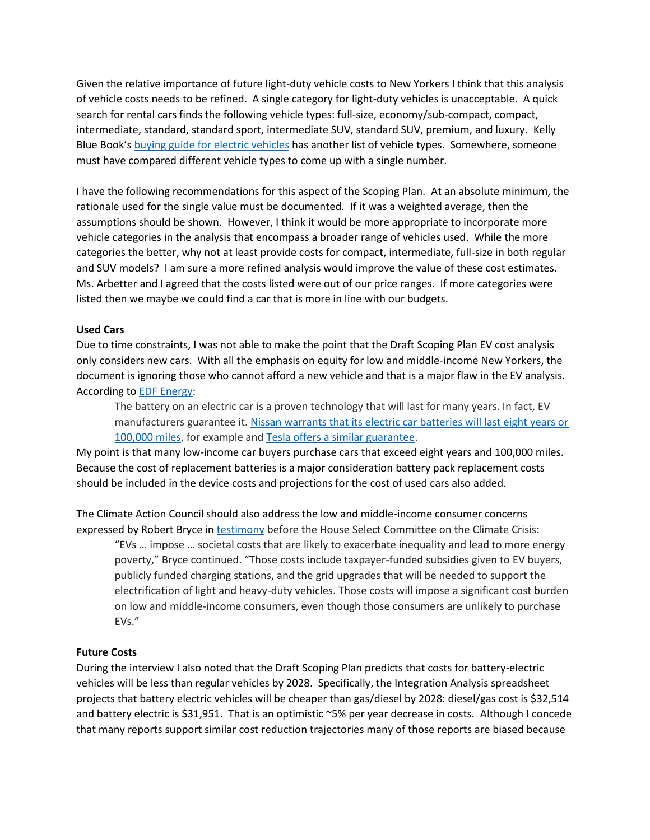Given the relative importance of future light-duty vehicle costs to New Yorkers I think that this analysis of vehicle costs needs to be refined. A single category for light-duty vehicles is unacceptable. A quick search for rental cars finds the following vehicle types: full-size, economy/sub-compact, compact, intermediate, standard, standard sport, intermediate SUV, standard SUV, premium, and luxury. Kelly Blue Book's [buying guide for electric vehicles](https://www.kbb.com/car-advice/electric-vehicle-buying-guide/) has another list of vehicle types. Somewhere, someone must have compared different vehicle types to come up with a single number.

I have the following recommendations for this aspect of the Scoping Plan. At an absolute minimum, the rationale used for the single value must be documented. If it was a weighted average, then the assumptions should be shown. However, I think it would be more appropriate to incorporate more vehicle categories in the analysis that encompass a broader range of vehicles used. While the more categories the better, why not at least provide costs for compact, intermediate, full-size in both regular and SUV models? I am sure a more refined analysis would improve the value of these cost estimates. Ms. Arbetter and I agreed that the costs listed were out of our price ranges. If more categories were listed then we maybe we could find a car that is more in line with our budgets.

### **Used Cars**

Due to time constraints, I was not able to make the point that the Draft Scoping Plan EV cost analysis only considers new cars. With all the emphasis on equity for low and middle-income New Yorkers, the document is ignoring those who cannot afford a new vehicle and that is a major flaw in the EV analysis. According to [EDF Energy:](https://www.edfenergy.com/about)

The battery on an electric car is a proven technology that will last for many years. In fact, EV manufacturers guarantee it. [Nissan warrants that its electric car batteries will last eight years or](https://www.nissan.co.uk/ownership/nissan-car-warranties.html)  [100,000 miles,](https://www.nissan.co.uk/ownership/nissan-car-warranties.html) for example and [Tesla offers a similar guarantee.](https://www.tesla.com/en_GB/support/vehicle-warranty?redirect=no)

My point is that many low-income car buyers purchase cars that exceed eight years and 100,000 miles. Because the cost of replacement batteries is a major consideration battery pack replacement costs should be included in the device costs and projections for the cost of used cars also added.

The Climate Action Council should also address the low and middle-income consumer concerns expressed by Robert Bryce in [testimony](https://docs.house.gov/meetings/CN/CN00/20210630/112853/HHRG-117-CN00-Wstate-BryceR-20210630.pdf) before the House Select Committee on the Climate Crisis:

"EVs … impose … societal costs that are likely to exacerbate inequality and lead to more energy poverty," Bryce continued. "Those costs include taxpayer-funded subsidies given to EV buyers, publicly funded charging stations, and the grid upgrades that will be needed to support the electrification of light and heavy-duty vehicles. Those costs will impose a significant cost burden on low and middle-income consumers, even though those consumers are unlikely to purchase EVs."

### **Future Costs**

During the interview I also noted that the Draft Scoping Plan predicts that costs for battery-electric vehicles will be less than regular vehicles by 2028. Specifically, the Integration Analysis spreadsheet projects that battery electric vehicles will be cheaper than gas/diesel by 2028: diesel/gas cost is \$32,514 and battery electric is \$31,951. That is an optimistic ~5% per year decrease in costs. Although I concede that many reports support similar cost reduction trajectories many of those reports are biased because